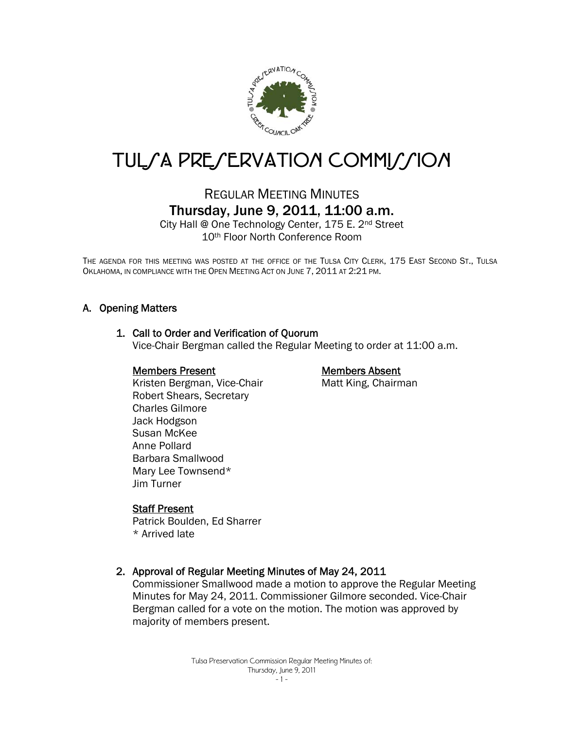

# TUL/A PRE/ERVATION COMMI//ION

# REGULAR MEETING MINUTES Thursday, June 9, 2011, 11:00 a.m.

City Hall @ One Technology Center, 175 E. 2nd Street 10th Floor North Conference Room

THE AGENDA FOR THIS MEETING WAS POSTED AT THE OFFICE OF THE TULSA CITY CLERK, 175 EAST SECOND ST., TULSA OKLAHOMA, IN COMPLIANCE WITH THE OPEN MEETING ACT ON JUNE 7, 2011 AT 2:21 PM.

#### A. Opening Matters

#### 1. Call to Order and Verification of Quorum

Vice-Chair Bergman called the Regular Meeting to order at 11:00 a.m.

#### Members Present

# Members Absent

Matt King, Chairman

 Kristen Bergman, Vice-Chair Robert Shears, Secretary Charles Gilmore Jack Hodgson Susan McKee Anne Pollard Barbara Smallwood Mary Lee Townsend\* Jim Turner

#### Staff Present

Patrick Boulden, Ed Sharrer \* Arrived late

#### 2. Approval of Regular Meeting Minutes of May 24, 2011

Commissioner Smallwood made a motion to approve the Regular Meeting Minutes for May 24, 2011. Commissioner Gilmore seconded. Vice-Chair Bergman called for a vote on the motion. The motion was approved by majority of members present.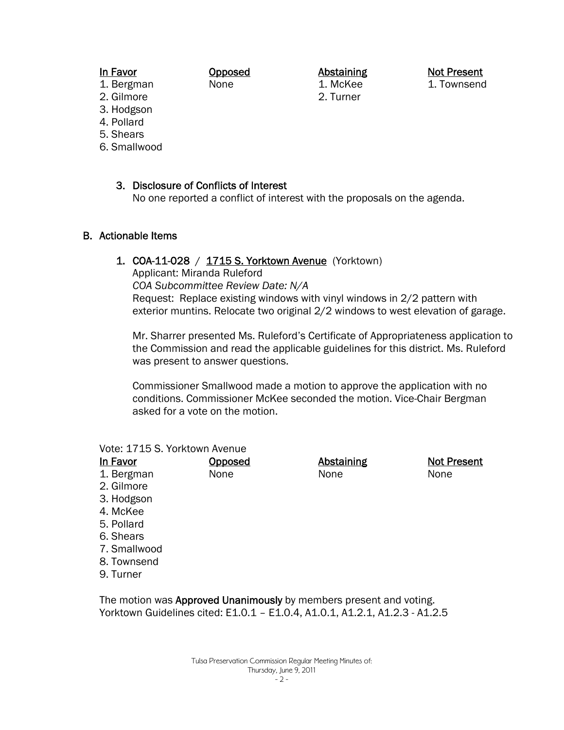#### In Favor

1. Bergman

Abstaining 1. McKee

2. Turner

Not Present 1. Townsend

- 2. Gilmore
- 3. Hodgson
- 4. Pollard
- 5. Shears
- 6. Smallwood

3. Disclosure of Conflicts of Interest

Opposed None

No one reported a conflict of interest with the proposals on the agenda.

#### B. Actionable Items

#### 1. COA-11-028 / 1715 S. Yorktown Avenue (Yorktown)

Applicant: Miranda Ruleford *COA Subcommittee Review Date: N/A*  Request: Replace existing windows with vinyl windows in 2/2 pattern with exterior muntins. Relocate two original 2/2 windows to west elevation of garage.

Mr. Sharrer presented Ms. Ruleford's Certificate of Appropriateness application to the Commission and read the applicable guidelines for this district. Ms. Ruleford was present to answer questions.

Commissioner Smallwood made a motion to approve the application with no conditions. Commissioner McKee seconded the motion. Vice-Chair Bergman asked for a vote on the motion.

#### Vote: 1715 S. Yorktown Avenue

| In Favor         | <b>Opposed</b> | <b>Abstaining</b> | <b>Not Present</b> |
|------------------|----------------|-------------------|--------------------|
| 1. Bergman       | None           | None              | None               |
| 2. Gilmore       |                |                   |                    |
| 3. Hodgson       |                |                   |                    |
| 4. McKee         |                |                   |                    |
| <b>E</b> Dollard |                |                   |                    |

- 5. Pollard
- 6. Shears
- 7. Smallwood
- 8. Townsend
- 9. Turner

The motion was **Approved Unanimously** by members present and voting. Yorktown Guidelines cited: E1.0.1 – E1.0.4, A1.0.1, A1.2.1, A1.2.3 - A1.2.5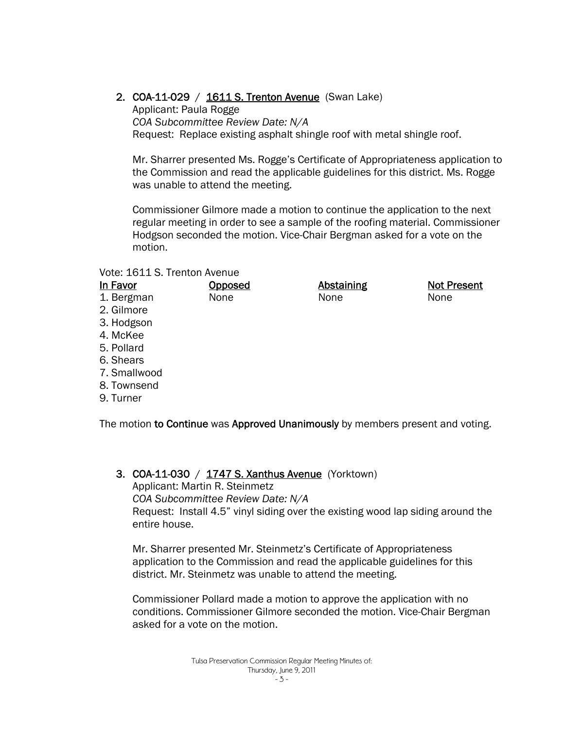# 2. COA-11-029 / 1611 S. Trenton Avenue (Swan Lake)

Applicant: Paula Rogge *COA Subcommittee Review Date: N/A*  Request: Replace existing asphalt shingle roof with metal shingle roof.

Mr. Sharrer presented Ms. Rogge's Certificate of Appropriateness application to the Commission and read the applicable guidelines for this district. Ms. Rogge was unable to attend the meeting.

Commissioner Gilmore made a motion to continue the application to the next regular meeting in order to see a sample of the roofing material. Commissioner Hodgson seconded the motion. Vice-Chair Bergman asked for a vote on the motion.

Vote: 1611 S. Trenton Avenue

| Vote: 1611 S. Trenton Avenue |         |                   |                    |
|------------------------------|---------|-------------------|--------------------|
| In Favor                     | Opposed | <b>Abstaining</b> | <b>Not Present</b> |
| 1. Bergman                   | None    | None              | None               |
| 2. Gilmore                   |         |                   |                    |
| 3. Hodgson                   |         |                   |                    |
| 4. McKee                     |         |                   |                    |
| 5. Pollard                   |         |                   |                    |
| 6. Shears                    |         |                   |                    |
| 7. Smallwood                 |         |                   |                    |
| 8. Townsend                  |         |                   |                    |

9. Turner

The motion to Continue was Approved Unanimously by members present and voting.

3. COA-11-030 / 1747 S. Xanthus Avenue (Yorktown) Applicant: Martin R. Steinmetz *COA Subcommittee Review Date: N/A*  Request: Install 4.5" vinyl siding over the existing wood lap siding around the entire house.

Mr. Sharrer presented Mr. Steinmetz's Certificate of Appropriateness application to the Commission and read the applicable guidelines for this district. Mr. Steinmetz was unable to attend the meeting.

Commissioner Pollard made a motion to approve the application with no conditions. Commissioner Gilmore seconded the motion. Vice-Chair Bergman asked for a vote on the motion.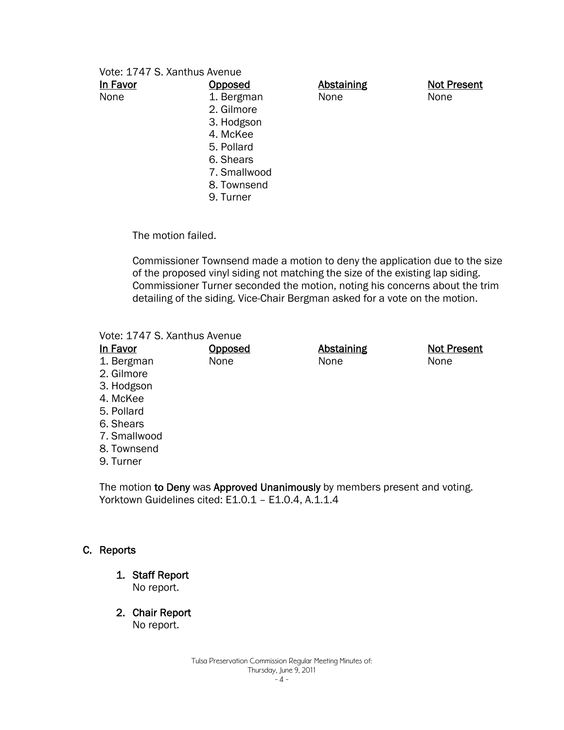| In Favor | <b>Opposed</b> | <b>Abstaining</b> | <b>Not Present</b> |
|----------|----------------|-------------------|--------------------|
| None     | 1. Bergman     | None              | None               |
|          | 2. Gilmore     |                   |                    |
|          | 3. Hodgson     |                   |                    |
|          | 4. McKee       |                   |                    |
|          | 5. Pollard     |                   |                    |
|          | 6. Shears      |                   |                    |
|          | 7. Smallwood   |                   |                    |
|          | 8. Townsend    |                   |                    |
|          | 9. Turner      |                   |                    |
|          |                |                   |                    |

The motion failed.

Commissioner Townsend made a motion to deny the application due to the size of the proposed vinyl siding not matching the size of the existing lap siding. Commissioner Turner seconded the motion, noting his concerns about the trim detailing of the siding. Vice-Chair Bergman asked for a vote on the motion.

#### Vote: 1747 S. Xanthus Avenue

| In Favor     | <u>Opposed</u> | <b>Abstaining</b> | <b>Not Present</b> |
|--------------|----------------|-------------------|--------------------|
| 1. Bergman   | None           | None              | None               |
| 2. Gilmore   |                |                   |                    |
| 3. Hodgson   |                |                   |                    |
| 4. McKee     |                |                   |                    |
| 5. Pollard   |                |                   |                    |
| 6. Shears    |                |                   |                    |
| 7. Smallwood |                |                   |                    |
| 8. Townsend  |                |                   |                    |
| 9. Turner    |                |                   |                    |

The motion to Deny was Approved Unanimously by members present and voting. Yorktown Guidelines cited: E1.0.1 - E1.0.4, A.1.1.4

# C. Reports

1. Staff Report

No report.

2. Chair Report

No report.